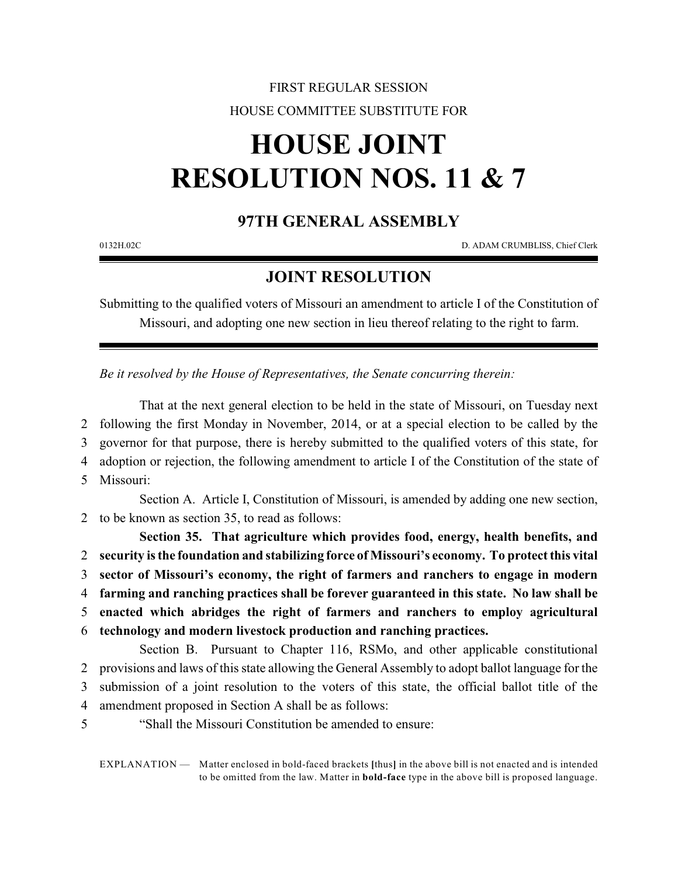## FIRST REGULAR SESSION HOUSE COMMITTEE SUBSTITUTE FOR

## **HOUSE JOINT RESOLUTION NOS. 11 & 7**

## **97TH GENERAL ASSEMBLY**

0132H.02C D. ADAM CRUMBLISS, Chief Clerk

## **JOINT RESOLUTION**

Submitting to the qualified voters of Missouri an amendment to article I of the Constitution of Missouri, and adopting one new section in lieu thereof relating to the right to farm.

*Be it resolved by the House of Representatives, the Senate concurring therein:*

That at the next general election to be held in the state of Missouri, on Tuesday next following the first Monday in November, 2014, or at a special election to be called by the governor for that purpose, there is hereby submitted to the qualified voters of this state, for adoption or rejection, the following amendment to article I of the Constitution of the state of Missouri:

Section A. Article I, Constitution of Missouri, is amended by adding one new section, 2 to be known as section 35, to read as follows:

**Section 35. That agriculture which provides food, energy, health benefits, and security is the foundation and stabilizing force of Missouri's economy. To protect this vital sector of Missouri's economy, the right of farmers and ranchers to engage in modern farming and ranching practices shall be forever guaranteed in this state. No law shall be enacted which abridges the right of farmers and ranchers to employ agricultural technology and modern livestock production and ranching practices.**

Section B. Pursuant to Chapter 116, RSMo, and other applicable constitutional provisions and laws of this state allowing the General Assembly to adopt ballot language for the submission of a joint resolution to the voters of this state, the official ballot title of the amendment proposed in Section A shall be as follows:

5 "Shall the Missouri Constitution be amended to ensure:

EXPLANATION — Matter enclosed in bold-faced brackets **[**thus**]** in the above bill is not enacted and is intended to be omitted from the law. Matter in **bold-face** type in the above bill is proposed language.